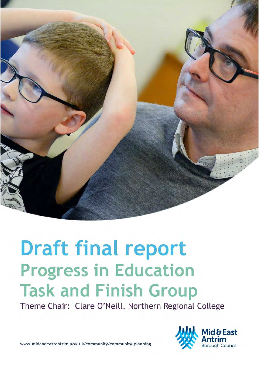

# **Draft final report Progress in Education Task and Finish Group**

Theme Chair: Clare O'Neill, Northern Regional College



www.midandeastantrim.gov.uk/community/community-planning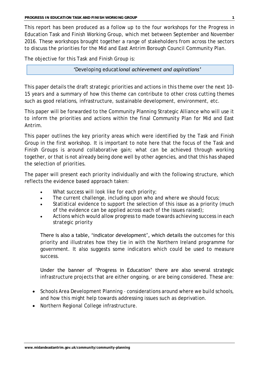This report has been produced as a follow up to the four workshops for the Progress in Education Task and Finish Working Group, which met between September and November 2016. These workshops brought together a range of stakeholders from across the sectors to discuss the priorities for the Mid and East Antrim Borough Council Community Plan.

The objective for this Task and Finish Group is:

*'Developing educational achievement and aspirations'*

This paper details the draft strategic priorities and actions in this theme over the next 10- 15 years and a summary of how this theme can contribute to other cross cutting themes such as good relations, infrastructure, sustainable development, environment, etc.

This paper will be forwarded to the Community Planning Strategic Alliance who will use it to inform the priorities and actions within the final Community Plan for Mid and East Antrim.

This paper outlines the key priority areas which were identified by the Task and Finish Group in the first workshop. It is important to note here that the focus of the Task and Finish Groups is around collaborative gain; what can be achieved through working together, or that is not already being done well by other agencies, and that this has shaped the selection of priorities.

The paper will present each priority individually and with the following structure, which reflects the evidence based approach taken:

- What success will look like for each priority;
- The current challenge, including upon who and where we should focus;
- Statistical evidence to support the selection of this issue as a priority (much of the evidence can be applied across each of the issues raised);
- Actions which would allow progress to made towards achieving success in each strategic priority

There is also a table, 'indicator development', which details the outcomes for this priority and illustrates how they tie in with the Northern Ireland programme for government. It also suggests some indicators which could be used to measure success.

Under the banner of 'Progress in Education' there are also several strategic infrastructure projects that are either ongoing, or are being considered. These are:

- Schools Area Development Planning considerations around where we build schools, and how this might help towards addressing issues such as deprivation.
- Northern Regional College infrastructure.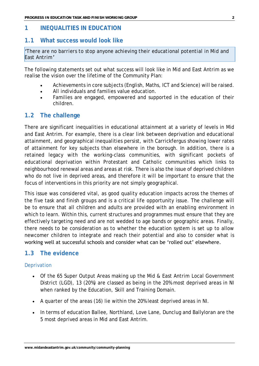# **1 INEQUALITIES IN EDUCATION**

### **1.1 What success would look like**

*'There are no barriers to stop anyone achieving their educational potential in Mid and East Antrim'*

The following statements set out what success will look like in Mid and East Antrim as we realise the vision over the lifetime of the Community Plan:

- Achievements in core subjects (English, Maths, ICT and Science) will be raised.
- All individuals and families value education.
- Families are engaged, empowered and supported in the education of their children.

# **1.2 The challenge**

There are significant inequalities in educational attainment at a variety of levels in Mid and East Antrim. For example, there is a clear link between deprivation and educational attainment, and geographical inequalities persist, with Carrickfergus showing lower rates of attainment for key subjects than elsewhere in the borough. In addition, there is a retained legacy with the working-class communities, with significant pockets of educational deprivation within Protestant and Catholic communities which links to neighbourhood renewal areas and areas at risk. There is also the issue of deprived children who do not live in deprived areas, and therefore it will be important to ensure that the focus of interventions in this priority are not simply geographical.

This issue was considered vital, as good quality education impacts across the themes of the five task and finish groups and is a critical life opportunity issue. The challenge will be to ensure that all children and adults are provided with an enabling environment in which to learn. Within this, current structures and programmes must ensure that they are effectively targeting need and are not wedded to age bands or geographic areas. Finally, there needs to be consideration as to whether the education system is set up to allow newcomer children to integrate and reach their potential and also to consider what is working well at successful schools and consider what can be 'rolled out' elsewhere.

# **1.3 The evidence**

#### Deprivation

- Of the 65 Super Output Areas making up the Mid & East Antrim Local Government District (LGD), 13 (20%) are classed as being in the 20% most deprived areas in NI when ranked by the Education, Skill and Training Domain.
- A quarter of the areas (16) lie within the 20% least deprived areas in NI.
- In terms of education Ballee, Northland, Love Lane, Dunclug and Ballyloran are the 5 most deprived areas in Mid and East Antrim.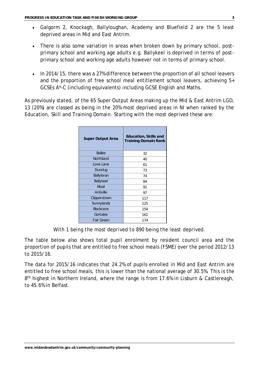- Galgorm 2, Knockagh, Ballyloughan, Academy and Bluefield 2 are the 5 least deprived areas in Mid and East Antrim.
- There is also some variation in areas when broken down by primary school, postprimary school and working age adults e.g. Ballykeel is deprived in terms of postprimary school and working age adults however not in terms of primary school.
- In 2014/15, there was a 27% difference between the proportion of all school leavers and the proportion of free school meal entitlement school leavers, achieving 5+ GCSEs A\*-C (including equivalents) including GCSE English and Maths.

As previously stated, of the 65 Super Output Areas making up the Mid & East Antrim LGD, 13 (20%) are classed as being in the 20% most deprived areas in NI when ranked by the Education, Skill and Training Domain. Starting with the most deprived these are:

| Super Output Area | Education, Skills and<br><b>Training Domain Rank</b> |
|-------------------|------------------------------------------------------|
| <b>Ballee</b>     | 32                                                   |
| Northland         | 40                                                   |
| Love Lane         | 61                                                   |
| Dunclug           | 73                                                   |
| Ballyloran        | 74                                                   |
| Ballykeel         | 84                                                   |
| Moat              | 91                                                   |
| Antiville         | 97                                                   |
| Clipperstown      | 117                                                  |
| Sunnylands        | 125                                                  |
| Blackcave         | 154                                                  |
| Gortalee          | 161                                                  |
| Fair Green        | 174                                                  |

*With 1 being the most deprived to 890 being the least deprived.* 

The table below also shows total pupil enrolment by resident council area and the proportion of pupils that are entitled to free school meals (FSME) over the period 2012/13 to 2015/16.

The data for 2015/16 indicates that 24.2% of pupils enrolled in Mid and East Antrim are entitled to free school meals, this is lower than the national average of 30.5%. This is the 8<sup>th</sup> highest in Northern Ireland, where the range is from 17.6% in Lisburn & Castlereagh, to 45.6% in Belfast.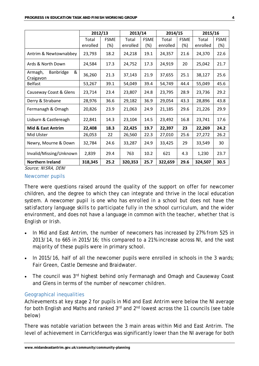|                                        | 2012/13           |                       |                   | 2013/14            |                   | 2014/15               | 2015/16           |                    |
|----------------------------------------|-------------------|-----------------------|-------------------|--------------------|-------------------|-----------------------|-------------------|--------------------|
|                                        | Total<br>enrolled | <b>FSME</b><br>$(\%)$ | Total<br>enrolled | <b>FSME</b><br>(%) | Total<br>enrolled | <b>FSME</b><br>$(\%)$ | Total<br>enrolled | <b>FSME</b><br>(%) |
| Antrim & Newtownabbey                  | 23,793            | 18.2                  | 24,218            | 19.1               | 24,357            | 21.6                  | 24,370            | 22.6               |
| Ards & North Down                      | 24,584            | 17.3                  | 24,752            | 17.3               | 24,919            | 20                    | 25,042            | 21.7               |
| Banbridge<br>&<br>Armagh,<br>Craigavon | 36,260            | 21.3                  | 37,143            | 21.9               | 37,655            | 25.1                  | 38,127            | 25.6               |
| <b>Belfast</b>                         | 53,267            | 39.1                  | 54,049            | 39.4               | 54,749            | 44.4                  | 55,049            | 45.6               |
| Causeway Coast & Glens                 | 23,714            | 23.4                  | 23,807            | 24.8               | 23,795            | 28.9                  | 23,736            | 29.2               |
| Derry & Strabane                       | 28,976            | 36.6                  | 29,182            | 36.9               | 29,054            | 43.3                  | 28,896            | 43.8               |
| Fermanagh & Omagh                      | 20,826            | 23.9                  | 21,063            | 24.9               | 21,185            | 29.6                  | 21,226            | 29.9               |
| Lisburn & Castlereagh                  | 22,841            | 14.3                  | 23,104            | 14.5               | 23,492            | 16.8                  | 23,741            | 17.6               |
| <b>Mid &amp; East Antrim</b>           | 22,408            | 18.3                  | 22,425            | 19.7               | 22,397            | 23                    | 22,269            | 24.2               |
| Mid Ulster                             | 26,053            | 22                    | 26,560            | 22.3               | 27,010            | 25.6                  | 27,272            | 26.2               |
| Newry, Mourne & Down                   | 32,784            | 24.6                  | 33,287            | 24.9               | 33,425            | 29                    | 33,549            | 30                 |
| Invalid/Missing/Unknown                | 2,839             | 29.4                  | 763               | 10.2               | 621               | 4.3                   | 1,230             | 23.7               |
| <b>Northern Ireland</b>                | 318,345           | 25.2                  | 320,353           | 25.7               | 322,659           | 29.6                  | 324,507           | 30.5               |

Source; NISRA, DENI

#### Newcomer pupils

There were questions raised around the quality of the support on offer for newcomer children, and the degree to which they can integrate and thrive in the local education system. *A newcomer pupil is one who has enrolled in a school but does not have the satisfactory language skills to participate fully in the school curriculum, and the wider environment, and does not have a language in common with the teacher, whether that is English or Irish.* 

- In Mid and East Antrim, the number of newcomers has increased by 27% from 525 in 2013/14, to 665 in 2015/16; this compared to a 21% increase across NI, and the vast majority of these pupils were in primary school.
- In 2015/16, half of all the newcomer pupils were enrolled in schools in the 3 wards; Fair Green, Castle Demesne and Braidwater.
- The council was 3<sup>rd</sup> highest behind only Fermanagh and Omagh and Causeway Coast and Glens in terms of the number of newcomer children.

#### Geographical inequalities

Achievements at key stage 2 for pupils in Mid and East Antrim were below the NI average for both English and Maths and ranked 3<sup>rd</sup> and 2<sup>nd</sup> lowest across the 11 councils (see table below)

There was notable variation between the 3 main areas within Mid and East Antrim. The level of achievement in Carrickfergus was significantly lower than the NI average for both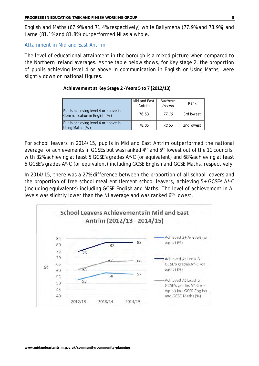English and Maths (67.9% and 71.4% respectively) while Ballymena (77.9% and 78.9%) and Larne (81.1% and 81.8%) outperformed NI as a whole.

#### Attainment in Mid and East Antrim

The level of educational attainment in the borough is a mixed picture when compared to the Northern Ireland averages. As the table below shows, for Key stage 2, the proportion of pupils achieving level 4 or above in communication in English or Using Maths, were slightly down on national figures.

#### Mid and East Antrim **Northern** Ireland Rank Pupils achieving level 4 or above in Communication in English (%) 76.53 77.15 3rd lowest Pupils achieving level 4 or above in Pupils achieving lever 4 or above in Table 78.05 78.53 2nd lowest

#### **Achievement at Key Stage 2 -Years 5 to 7 (2012/13)**

For school leavers in 2014/15, pupils in Mid and East Antrim outperformed the national average for achievements in GCSEs but was ranked 4<sup>th</sup> and 5<sup>th</sup> lowest out of the 11 councils, with 82% achieving at least 5 GCSE's grades A\*-C (or equivalent) and 68% achieving at least 5 GCSE's grades A\*-C (or equivalent) including GCSE English and GCSE Maths, respectively.

In 2014/15, there was a 27% difference between the proportion of all school leavers and the proportion of free school meal entitlement school leavers, achieving 5+ GCSEs A\*-C (including equivalents) including GCSE English and Maths. The level of achievement in Alevels was slightly lower than the NI average and was ranked 6<sup>th</sup> lowest.

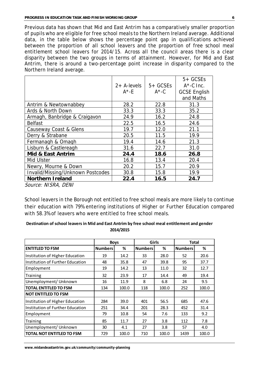Previous data has shown that Mid and East Antrim has a comparatively smaller proportion of pupils who are eligible for free school meals to the Northern Ireland average. Additional data, in the table below shows the percentage point gap in qualifications achieved between the proportion of all school leavers and the proportion of free school meal entitlement school leavers for 2014/15. Across all the council areas there is a clear disparity between the two groups in terms of attainment. However, for Mid and East Antrim, there is around a two-percentage point increase in disparity compared to the Northern Ireland average.

|                                   | $2 + A$ -levels<br>$A^*$ -E | $5 + GCSEs$<br>$A^*$ -C | $5 + GCSEs$<br>$A^{\star}$ -C Inc.<br><b>GCSE English</b><br>and Maths |
|-----------------------------------|-----------------------------|-------------------------|------------------------------------------------------------------------|
| Antrim & Newtownabbey             | 28.2                        | 22.8                    | 31.3                                                                   |
| Ards & North Down                 | 33.3                        | 33.3                    | 35.2                                                                   |
| Armagh, Banbridge & Craigavon     | 24.9                        | 16.2                    | 24.8                                                                   |
| <b>Belfast</b>                    | 22.5                        | 16.5                    | 24.6                                                                   |
| Causeway Coast & Glens            | 19.7                        | 12.0                    | 21.1                                                                   |
| Derry & Strabane                  | 20.5                        | 11.5                    | 19.9                                                                   |
| Fermanagh & Omagh                 | 19.4                        | 14.6                    | 21.3                                                                   |
| Lisburn & Castlereagh             | 31.6                        | 22.7                    | 31.0                                                                   |
| Mid & East Antrim                 | 24.4                        | 18.6                    | 26.8                                                                   |
| Mid Ulster                        | 16.8                        | 13.4                    | 20.4                                                                   |
| Newry, Mourne & Down              | 20.2                        | 15.7                    | 20.9                                                                   |
| Invalid/Missing/Unknown Postcodes | 30.8                        | 15.8                    | 19.9                                                                   |
| Northern I reland                 | 22.4                        | 16.5                    | 24.7                                                                   |
| Source: NISRA, DENI               |                             |                         |                                                                        |

School leavers in the Borough not entitled to free school meals are more likely to continue their education with 79% entering institutions of Higher or Further Education compared with 58.3% of leavers who were entitled to free school meals.

#### **Destination of school leavers in Mid and East Antrim by free school meal entitlement and gender 2014/2015**

|                                  |                | 2014/2015 |                |       |                |       |
|----------------------------------|----------------|-----------|----------------|-------|----------------|-------|
|                                  | <b>Boys</b>    |           | Girls          |       | <b>Total</b>   |       |
| <b>ENTITLED TO FSM</b>           | <b>Numbers</b> | ℅         | <b>Numbers</b> | %     | <b>Numbers</b> | %     |
| Institution of Higher Education  | 19             | 14.2      | 33             | 28.0  | 52             | 20.6  |
| Institution of Further Education | 48             | 35.8      | 47             | 39.8  | 95             | 37.7  |
| Employment                       | 19             | 14.2      | 13             | 11.0  | 32             | 12.7  |
| Training                         | 32             | 23.9      | 17             | 14.4  | 49             | 19.4  |
| Unemployment/ Unknown            | 16             | 11.9      | 8              | 6.8   | 24             | 9.5   |
| <b>TOTAL ENTITLED TO FSM</b>     | 134            | 100.0     | 118            | 100.0 | 252            | 100.0 |
| <b>NOT ENTITLED TO FSM</b>       |                |           |                |       |                |       |
| Institution of Higher Education  | 284            | 39.0      | 401            | 56.5  | 685            | 47.6  |
| Institution of Further Education | 251            | 34.4      | 201            | 28.3  | 452            | 31.4  |
| Employment                       | 79             | 10.8      | 54             | 7.6   | 133            | 9.2   |
| Training                         | 85             | 11.7      | 27             | 3.8   | 112            | 7.8   |
| Unemployment/ Unknown            | 30             | 4.1       | 27             | 3.8   | 57             | 4.0   |
| <b>TOTAL NOT ENTITLED TO FSM</b> | 729            | 100.0     | 710            | 100.0 | 1439           | 100.0 |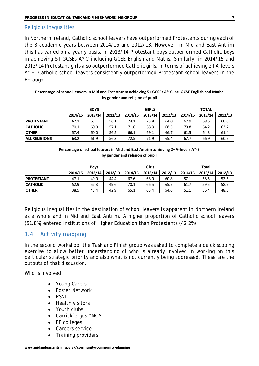#### Religious Inequalities

In Northern Ireland, Catholic school leavers have outperformed Protestants during each of the 3 academic years between 2014/15 and 2012/13. However, in Mid and East Antrim this has varied on a yearly basis. In 2013/14 Protestant boys outperformed Catholic boys in achieving 5+ GCSEs A\*-C including GCSE English and Maths. Similarly, in 2014/15 and 2013/14 Protestant girls also outperformed Catholic girls. In terms of achieving 2+ A-levels A\*-E, Catholic school leavers consistently outperformed Protestant school leavers in the Borough.

|                      | PEICENTAGE OF SCHOOL IEAVELS III IVIIU ANU EAST ANUMIN ACHIEVING OT QUOES A -U IIIC. QUOE ENGIISM ANU IVIAUD.<br>by gender and religion of pupil |         |         |         |              |         |              |         |         |  |  |  |
|----------------------|--------------------------------------------------------------------------------------------------------------------------------------------------|---------|---------|---------|--------------|---------|--------------|---------|---------|--|--|--|
|                      | <b>BOYS</b>                                                                                                                                      |         |         |         | <b>GIRLS</b> |         | <b>TOTAL</b> |         |         |  |  |  |
|                      | 2014/15                                                                                                                                          | 2013/14 | 2012/13 | 2014/15 | 2013/14      | 2012/13 | 2014/15      | 2013/14 | 2012/13 |  |  |  |
| <b>PROTESTANT</b>    | 62.1                                                                                                                                             | 63.1    | 56.1    | 74.1    | 73.8         | 64.0    | 67.9         | 68.5    | 60.0    |  |  |  |
| <b>CATHOLIC</b>      | 70.1                                                                                                                                             | 60.0    | 57.1    | 71.6    | 68.3         | 68.5    | 70.8         | 64.2    | 63.7    |  |  |  |
| <b>OTHER</b>         | 57.4                                                                                                                                             | 60.0    | 56.5    | 66.1    | 69.1         | 66.7    | 61.5         | 64.3    | 61.4    |  |  |  |
| <b>ALL RELIGIONS</b> | 63.2                                                                                                                                             | 61.9    | 56.3    | 72.5    | 71.9         | 65.4    | 67.7         | 66.9    | 60.9    |  |  |  |
|                      |                                                                                                                                                  |         |         |         |              |         |              |         |         |  |  |  |

#### **Percentage of school leavers in Mid and East Antrim achieving 5+ GCSEs A\*-C inc. GCSE English and Maths by gender and religion of pupil**

| Percentage of school leavers in Mid and East Antrim achieving 2+ A-levels A*-E |
|--------------------------------------------------------------------------------|
| by gender and religion of pupil                                                |

|                    | Percentage of School leavers in who and east Anthin achieving 2+ A-levels A 1-C<br>by gender and religion of pupil |         |         |         |         |         |              |         |         |  |  |  |
|--------------------|--------------------------------------------------------------------------------------------------------------------|---------|---------|---------|---------|---------|--------------|---------|---------|--|--|--|
|                    | <b>Boys</b>                                                                                                        |         |         |         | Girls   |         | <b>Total</b> |         |         |  |  |  |
|                    | 2014/15                                                                                                            | 2013/14 | 2012/13 | 2014/15 | 2013/14 | 2012/13 | 2014/15      | 2013/14 | 2012/13 |  |  |  |
| <b>IPROTESTANT</b> | 47.1                                                                                                               | 49.0    | 44.4    | 67.6    | 68.0    | 60.8    | 57.1         | 58.5    | 52.5    |  |  |  |
| <b>CATHOLIC</b>    | 52.9                                                                                                               | 52.3    | 49.6    | 70.1    | 66.5    | 65.7    | 61.7         | 59.5    | 58.9    |  |  |  |
| <b>OTHER</b>       | 38.5                                                                                                               | 48.4    | 42.9    | 65.1    | 65.4    | 54.6    | 51.1         | 56.4    | 48.5    |  |  |  |
|                    |                                                                                                                    |         |         |         |         |         |              |         |         |  |  |  |

Religious inequalities in the destination of school leavers is apparent in Northern Ireland as a whole and in Mid and East Antrim. A higher proportion of Catholic school leavers (51.8%) entered institutions of Higher Education than Protestants (42.2%).

# 1.4 Activity mapping

In the second workshop, the Task and Finish group was asked to complete a quick scoping exercise to allow better understanding of who is already involved in working on this particular strategic priority and also what is not currently being addressed. These are the outputs of that discussion.

Who is involved:

- Young Carers
- Foster Network
- PSNI
- Health visitors
- Youth clubs
- Carrickfergus YMCA
- FE colleges
- Careers service
- Training providers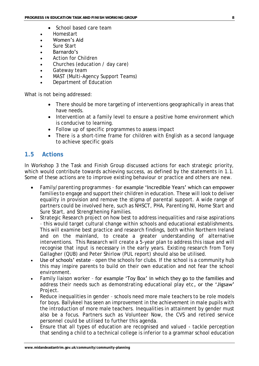- School based care team
- Homestart
- Women's Aid
- Sure Start
- Barnardo's
- Action for Children
- Churches (education / day care)
- Gateway team
- MAST (Multi-Agency Support Teams)
- Department of Education

What is not being addressed:

- There should be more targeting of interventions geographically in areas that have needs.
- Intervention at a family level to ensure a positive home environment which is conducive to learning.
- Follow up of specific programmes to assess impact
- There is a short-time frame for children with English as a second language to achieve specific goals

# **1.5 Actions**

In Workshop 3 the Task and Finish Group discussed actions for each strategic priority, which would contribute towards achieving success, as defined by the statements in 1.1. Some of these actions are to improve existing behaviour or practice and others are new.

- Family/parenting programmes for example 'Incredible Years' which can empower families to engage and support their children in education. These will look to deliver equality in provision and remove the stigma of parental support. A wide range of partners could be involved here, such as NHSCT, PHA, Parenting NI, Home Start and Sure Start, and Strengthening Families.
- Strategic Research project on how best to address inequalities and raise aspirations – this would target cultural change within schools and educational establishments. This will examine best practice and research findings, both within Northern Ireland and on the mainland, to create a greater understanding of alternative interventions. This Research will create a 5-year plan to address this issue and will recognise that input is necessary in the early years. Existing research from Tony Gallagher (QUB) and Peter Shirlow (PUL report) should also be utilised.
- Use of schools' estate open the schools for clubs. If the school is a community hub this may inspire parents to build on their own education and not fear the school environment.
- Family liaison worker for example 'Toy Box' in which they go to the families and address their needs such as demonstrating educational play etc, or the 'Jigsaw' Project.
- Reduce inequalities in gender schools need more male teachers to be role models for boys. Ballykeel has seen an improvement in the achievement in male pupils with the introduction of more male teachers. Inequalities in attainment by gender must also be a focus. Partners such as Volunteer Now, the CVS and retired service personnel could be utilised to further this agenda.
- Ensure that all types of education are recognised and valued tackle perception that sending a child to a technical college is inferior to a grammar school education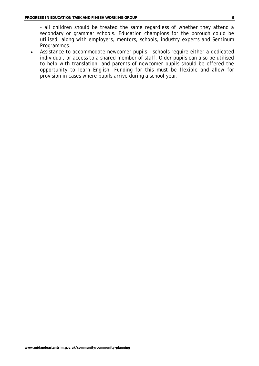– all children should be treated the same regardless of whether they attend a secondary or grammar schools. Education champions for the borough could be utilised, along with employers, mentors, schools, industry experts and Sentinum Programmes.

 Assistance to accommodate newcomer pupils – schools require either a dedicated individual, or access to a shared member of staff. Older pupils can also be utilised to help with translation, and parents of newcomer pupils should be offered the opportunity to learn English. Funding for this must be flexible and allow for provision in cases where pupils arrive during a school year.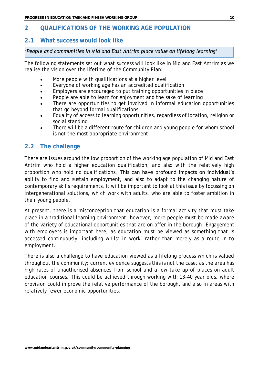# **2 QUALIFICATIONS OF THE WORKING AGE POPULATION**

# **2.1 What success would look like**

#### *'People and communities in Mid and East Antrim place value on lifelong learning'*

The following statements set out what success will look like in Mid and East Antrim as we realise the vision over the lifetime of the Community Plan:

- More people with qualifications at a higher level
- Everyone of working age has an accredited qualification
- Employers are encouraged to put training opportunities in place
- People are able to learn for enjoyment and the sake of learning
- There are opportunities to get involved in informal education opportunities that go beyond formal qualifications
- Equality of access to learning opportunities, regardless of location, religion or social standing
- There will be a different route for children and young people for whom school is not the most appropriate environment

# **2.2 The challenge**

There are issues around the low proportion of the working age population of Mid and East Antrim who hold a higher education qualification, and also with the relatively high proportion who hold no qualifications. This can have profound impacts on individual's ability to find and sustain employment, and also to adapt to the changing nature of contemporary skills requirements. It will be important to look at this issue by focussing on intergenerational solutions, which work with adults, who are able to foster ambition in their young people.

At present, there is a misconception that education is a formal activity that must take place in a traditional learning environment; however, more people must be made aware of the variety of educational opportunities that are on offer in the borough. Engagement with employers is important here, as education must be viewed as something that is accessed continuously, including whilst in work, rather than merely as a route in to employment.

There is also a challenge to have education viewed as a lifelong process which is valued throughout the community; current evidence suggests this is not the case, as the area has high rates of unauthorised absences from school and a low take up of places on adult education courses. This could be achieved through working with 13-40 year olds, where provision could improve the relative performance of the borough, and also in areas with relatively fewer economic opportunities.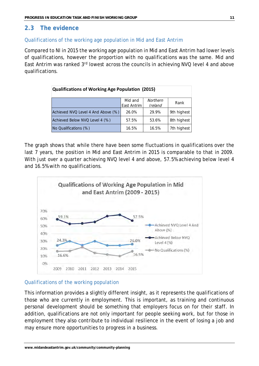# **2.3 The evidence**

#### Qualifications of the working age population in Mid and East Antrim

Compared to NI in 2015 the working age population in Mid and East Antrim had lower levels of qualifications, however the proportion with no qualifications was the same. Mid and East Antrim was ranked 3rd lowest across the councils in achieving NVQ level 4 and above qualifications.

| <b>Qualifications of Working Age Population (2015)</b> |                        |                     |             |  |  |  |  |  |
|--------------------------------------------------------|------------------------|---------------------|-------------|--|--|--|--|--|
|                                                        | Mid and<br>East Antrim | Northern<br>Ireland | Rank        |  |  |  |  |  |
| Achieved NVQ Level 4 And Above (%)                     | 26.0%                  | 29.9%               | 9th highest |  |  |  |  |  |
| Achieved Below NVQ Level 4 (%)                         | 57.5%                  | 53.6%               | 8th highest |  |  |  |  |  |
| No Qualifications (%)                                  | 16.5%                  | 16.5%               | 7th highest |  |  |  |  |  |

The graph shows that while there have been some fluctuations in qualifications over the last 7 years, the position in Mid and East Antrim in 2015 is comparable to that in 2009. With just over a quarter achieving NVQ level 4 and above, 57.5% achieving below level 4 and 16.5% with no qualifications.



#### Qualifications of the working population

This information provides a slightly different insight, as it represents the qualifications of those who are currently in employment. This is important, as training and continuous personal development should be something that employers focus on for their staff. In addition, qualifications are not only important for people seeking work, but for those in employment they also contribute to individual resilience in the event of losing a job and may ensure more opportunities to progress in a business.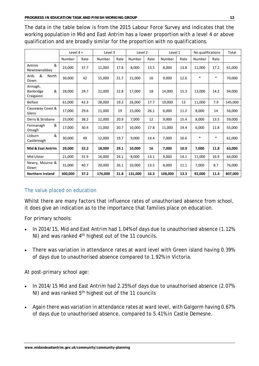The data in the table below is from the 2015 Labour Force Survey and indicates that the working population in Mid and East Antrim has a lower proportion with a level 4 or above qualification and are broadly similar for the proportion with no qualifications.

|                                               | Level $4 +$ |      | Level 3 |      | Level 2 |      | Level 1 |      | No qualifications |        | Total   |
|-----------------------------------------------|-------------|------|---------|------|---------|------|---------|------|-------------------|--------|---------|
|                                               | Number      | Rate | Number  | Rate | Number  | Rate | Number  | Rate | Number            | Rate   |         |
| &<br>Antrim<br>Newtownabbey                   | 23,000      | 37.7 | 11,000  | 17.8 | 8,000   | 13.5 | 8,000   | 13.8 | 11,000            | 17.2   | 61,000  |
| &<br>Ards<br>North<br>Down                    | 30,000      | 42   | 15,000  | 21.7 | 11,000  | 16   | 9,000   | 12.6 | $\ast$            | $\ast$ | 70,000  |
| Armagh,<br>&<br><b>Banbridge</b><br>Craigavon | 28,000      | 29.7 | 21,000  | 22.8 | 17,000  | 18   | 14,000  | 15.3 | 13,000            | 14.2   | 94,000  |
| Belfast                                       | 61,000      | 42.3 | 28,000  | 19.2 | 26,000  | 17.7 | 19,000  | 13   | 11,000            | 7.9    | 145,000 |
| Causeway Coast &<br>Glens                     | 17,000      | 29.6 | 11,000  | 19   | 15,000  | 26.1 | 6,000   | 11.2 | 8,000             | 14     | 56,000  |
| Derry & Strabane                              | 23,000      | 38.2 | 12,000  | 20.9 | 7,000   | 12   | 9,000   | 15.4 | 8,000             | 13.5   | 59,000  |
| &<br>Fermanagh<br>Omagh                       | 17,000      | 30.4 | 11,000  | 20.7 | 10,000  | 17.8 | 11,000  | 19.4 | 6,000             | 11.8   | 55,000  |
| &<br>Lisburn<br>Castlereagh                   | 30,000      | 49   | 12,000  | 19.7 | 9,000   | 14.4 | 7,000   | 10.6 | $\ast$            | $\ast$ | 61,000  |
| <b>Mid &amp; East Antrim</b>                  | 20,000      | 32.2 | 18,000  | 29.1 | 10,000  | 16   | 7,000   | 10.9 | 7,000             | 11.8   | 63,000  |
| Mid Ulster                                    | 21,000      | 31.9 | 16,000  | 24.1 | 8,000   | 13.1 | 9,000   | 14.1 | 11,000            | 16.9   | 64,000  |
| Newry, Mourne &<br>Down                       | 31,000      | 40.7 | 20,000  | 26.1 | 10,000  | 13.5 | 8,000   | 11.1 | 7,000             | 8.7    | 76,000  |
| <b>Northern Ireland</b>                       | 300.000     | 37.2 | 176,000 | 21.8 | 131,000 | 16.3 | 108,000 | 13.3 | 92,000            | 11.4   | 807,000 |

#### The value placed on education

Whilst there are many factors that influence rates of unauthorised absence from school, it does give an indication as to the importance that families place on education.

For primary schools:

- In 2014/15, Mid and East Antrim had 1.04% of days due to unauthorised absence (1.12%) NI) and was ranked 4<sup>th</sup> highest out of the 11 councils.
- There was variation in attendance rates at ward level with Green island having 0.39% of days due to unauthorised absence compared to 1.92% in Victoria.

At post-primary school age:

- In 2014/15 Mid and East Antrim had 2.25% of days due to unauthorised absence (2.07%  $N$ I) and was ranked  $5<sup>th</sup>$  highest out of the 11 councils
- Again there was variation in attendance rates at ward level, with Galgorm having 0.67% of days due to unauthorised absence, compared to 5.41% in Castle Demesne.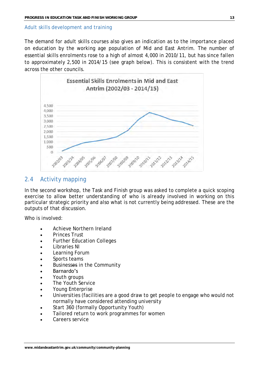#### Adult skills development and training

The demand for adult skills courses also gives an indication as to the importance placed on education by the working age population of Mid and East Antrim. The number of essential skills enrolments rose to a high of almost 4,000 in 2010/11, but has since fallen to approximately 2,500 in 2014/15 (see graph below). This is consistent with the trend across the other councils.



### 2.4 Activity mapping

In the second workshop, the Task and Finish group was asked to complete a quick scoping exercise to allow better understanding of who is already involved in working on this particular strategic priority and also what is not currently being addressed. These are the outputs of that discussion.

Who is involved:

- Achieve Northern Ireland
- Princes Trust
- Further Education Colleges
- Libraries NI
- Learning Forum
- Sports teams
- Businesses in the Community
- Barnardo's
- Youth groups
- The Youth Service
- Young Enterprise
- Universities (facilities are a good draw to get people to engage who would not normally have considered attending university
- Start 360 (formally Opportunity Youth)
- Tailored return to work programmes for women
- Careers service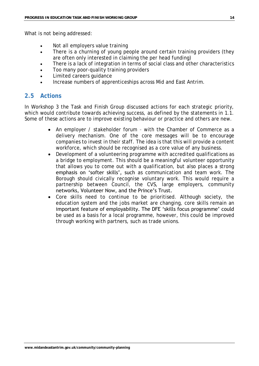What is not being addressed:

- Not all employers value training
- There is a churning of young people around certain training providers (they are often only interested in claiming the per head funding)
- There is a lack of integration in terms of social class and other characteristics
- Too many poor-quality training providers
- Limited careers guidance
- Increase numbers of apprenticeships across Mid and East Antrim.

# **2.5 Actions**

In Workshop 3 the Task and Finish Group discussed actions for each strategic priority, which would contribute towards achieving success, as defined by the statements in 1.1. Some of these actions are to improve existing behaviour or practice and others are new.

- An employer / stakeholder forum with the Chamber of Commerce as a delivery mechanism. One of the core messages will be to encourage companies to invest in their staff. The idea is that this will provide a content workforce, which should be recognised as a core value of any business.
- Development of a volunteering programme with accredited qualifications as a bridge to employment. This should be a meaningful volunteer opportunity that allows you to come out with a qualification, but also places a strong emphasis on 'softer skills', such as communication and team work. The Borough should civically recognise voluntary work. This would require a partnership between Council, the CVS, large employers, community networks, Volunteer Now, and the Prince's Trust.
- Core skills need to continue to be prioritised. Although society, the education system and the jobs market are changing, core skills remain an important feature of employability. The DFE 'skills focus programme' could be used as a basis for a local programme, however, this could be improved through working with partners, such as trade unions.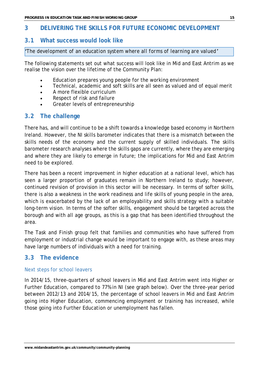# **3 DELIVERING THE SKILLS FOR FUTURE ECONOMIC DEVELOPMENT**

# **3.1 What success would look like**

*'The development of an education system where all forms of learning are valued'*

The following statements set out what success will look like in Mid and East Antrim as we realise the vision over the lifetime of the Community Plan:

- Education prepares young people for the working environment
- Technical, academic and soft skills are all seen as valued and of equal merit
- A more flexible curriculum
- Respect of risk and failure
- Greater levels of entrepreneurship

# **3.2 The challenge**

There has, and will continue to be a shift towards a knowledge based economy in Northern Ireland. However, the NI skills barometer indicates that there is a mismatch between the skills needs of the economy and the current supply of skilled individuals. The skills barometer research analyses where the skills gaps are currently, where they are emerging and where they are likely to emerge in future; the implications for Mid and East Antrim need to be explored.

There has been a recent improvement in higher education at a national level, which has seen a larger proportion of graduates remain in Northern Ireland to study; however, continued revision of provision in this sector will be necessary. In terms of softer skills, there is also a weakness in the work readiness and life skills of young people in the area, which is exacerbated by the lack of an employability and skills strategy with a suitable long-term vision. In terms of the softer skills, engagement should be targeted across the borough and with all age groups, as this is a gap that has been identified throughout the area.

The Task and Finish group felt that families and communities who have suffered from employment or industrial change would be important to engage with, as these areas may have large numbers of individuals with a need for training.

# **3.3 The evidence**

#### Next steps for school leavers

In 2014/15, three-quarters of school leavers in Mid and East Antrim went into Higher or Further Education, compared to 77% in NI (see graph below). Over the three-year period between 2012/13 and 2014/15, the percentage of school leavers in Mid and East Antrim going into Higher Education, commencing employment or training has increased, while those going into Further Education or unemployment has fallen.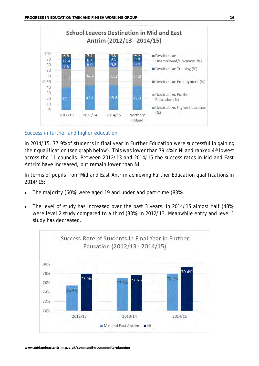

#### Success in further and higher education

In 2014/15, 77.9% of students in final year in Further Education were successful in gaining their qualification (see graph below). This was lower than 79.4% in NI and ranked 4<sup>th</sup> lowest across the 11 councils. Between 2012/13 and 2014/15 the success rates in Mid and East Antrim have increased, but remain lower than NI.

In terms of pupils from Mid and East Antrim achieving Further Education qualifications in 2014/15:

- The majority (60%) were aged 19 and under and part-time (83%).
- The level of study has increased over the past 3 years. In 2014/15 almost half (48%) were level 2 study compared to a third (33%) in 2012/13. Meanwhile entry and level 1 study has decreased.

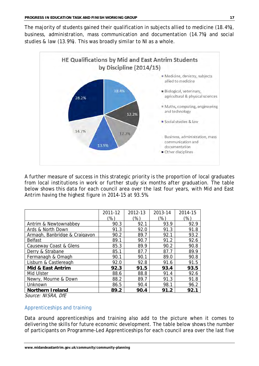The majority of students gained their qualification in subjects allied to medicine (18.4%), business, administration, mass communication and documentation (14.7%) and social studies & law (13.9%). This was broadly similar to NI as a whole.



A further measure of success in this strategic priority is the proportion of local graduates from local institutions in work or further study six months after graduation. The table below shows this data for each council area over the last four years, with Mid and East Antrim having the highest figure in 2014-15 at 93.5%.

|                               | 2011-12 | 2012-13 | 2013-14 | 2014-15 |
|-------------------------------|---------|---------|---------|---------|
|                               | $\%$    | (%)     | '%`     | $\%$    |
| Antrim & Newtownabbey         | 90.3    | 92.1    | 93.9    | 92.9    |
| Ards & North Down             | 91.3    | 92.0    | 91.3    | 91.8    |
| Armagh, Banbridge & Craigavon | 90.2    | 89.7    | 92.1    | 93.2    |
| <b>Belfast</b>                | 89.1    | 90.7    | 91.2    | 92.6    |
| Causeway Coast & Glens        | 85.3    | 89.9    | 90.2    | 90.8    |
| Derry & Strabane              | 85.1    | 87.7    | 87.7    | 89.9    |
| Fermanagh & Omagh             | 90.1    | 90.1    | 89.0    | 90.8    |
| Lisburn & Castlereagh         | 92.0    | 92.8    | 91.6    | 91.5    |
| Mid & East Antrim             | 92.3    | 91.5    | 93.4    | 93.5    |
| Mid Ulster                    | 88.6    | 88.8    | 91.4    | 92.6    |
| Newry, Mourne & Down          | 88.2    | 89.7    | 91.3    | 91.8    |
| Unknown                       | 86.5    | 90.4    | 98.1    | 96.2    |
| Northern I reland             | 89.2    | 90.4    | 91.2    | 92.     |

Source: NISRA, DfE

#### Apprenticeships and training

Data around apprenticeships and training also add to the picture when it comes to delivering the skills for future economic development. The table below shows the number of participants on Programme-Led Apprenticeships for each council area over the last five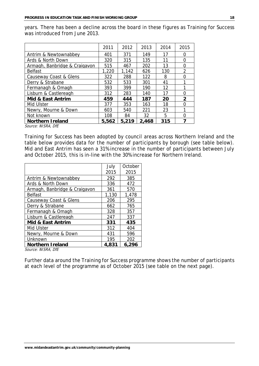years. There has been a decline across the board in these figures as Training for Success was introduced from June 2013.

|                               | 2011  | 2012  | 2013  | 2014 | 2015           |
|-------------------------------|-------|-------|-------|------|----------------|
| Antrim & Newtownabbey         | 401   | 371   | 149   | 17   | ∩              |
| Ards & North Down             | 320   | 315   | 135   | 11   | $\bigcap$      |
| Armagh, Banbridge & Craigavon | 515   | 467   | 202   | 13   | $\bigcap$      |
| <b>Belfast</b>                | 1,220 | 1,142 | 626   | 130  | $\overline{2}$ |
| Causeway Coast & Glens        | 322   | 288   | 122   | 8    | ∩              |
| Derry & Strabane              | 532   | 533   | 301   | 41   |                |
| Fermanagh & Omagh             | 393   | 399   | 190   | 12   |                |
| Lisburn & Castlereagh         | 312   | 283   | 140   | 17   | ∩              |
| Mid & East Antrim             | 459   | 444   | 187   | 20   | $\overline{2}$ |
| Mid Ulster                    | 377   | 353   | 163   | 18   | ∩              |
| Newry, Mourne & Down          | 603   | 540   | 221   | 23   |                |
| Not known                     | 108   | 84    | 32    | 5    | $\bigcap$      |
| Northern I reland             | 5,562 | 5,219 | 2,468 | 315  | ᄀ              |

Source: NISRA, DfE

Training for Success has been adopted by council areas across Northern Ireland and the table below provides data for the number of participants by borough (see table below). Mid and East Antrim has seen a 31% increase in the number of participants between July and October 2015, this is in-line with the 30% increase for Northern Ireland.

|                               | July  | October |
|-------------------------------|-------|---------|
|                               | 2015  | 2015    |
| Antrim & Newtownabbey         | 292   | 385     |
| Ards & North Down             | 336   | 472     |
| Armagh, Banbridge & Craigavon | 361   | 570     |
| <b>Belfast</b>                | 1,130 | 1,478   |
| Causeway Coast & Glens        | 206   | 295     |
| Derry & Strabane              | 662   | 765     |
| Fermanagh & Omagh             | 328   | 357     |
| Lisburn & Castlereagh         | 247   | 337     |
| Mid & East Antrim             | 331   | 435     |
| Mid Ulster                    | 312   | 404     |
| Newry, Mourne & Down          | 431   | 596     |
| Unknown                       | 195   | 202     |
| Northern I reland             | 4,831 | 6,296   |
| Source: NISRA, DfE            |       |         |

Further data around the Training for Success programme shows the number of participants at each level of the programme as of October 2015 (see table on the next page).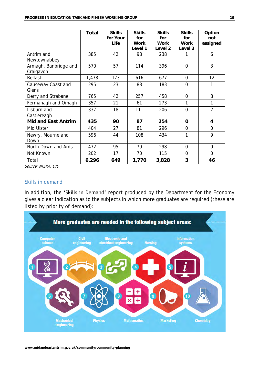|                                    | Total | <b>Skills</b><br>for Your | <b>Skills</b><br>for | <b>Skills</b><br>for | <b>Skills</b><br>for | Option<br>not  |
|------------------------------------|-------|---------------------------|----------------------|----------------------|----------------------|----------------|
|                                    |       | Life                      | Work                 | Work                 | Work                 | assigned       |
| Antrim and<br>Newtownabbey         | 385   | 42                        | Level 1<br>98        | Level 2<br>238       | Level 3              | 6              |
| Armagh, Banbridge and<br>Craigavon | 570   | 57                        | 114                  | 396                  | $\overline{O}$       | 3              |
| Belfast                            | 1,478 | 173                       | 616                  | 677                  | $\overline{0}$       | 12             |
| Causeway Coast and<br>Glens        | 295   | 23                        | 88                   | 183                  | $\overline{O}$       | 1              |
| Derry and Strabane                 | 765   | 42                        | 257                  | 458                  | $\overline{0}$       | 8              |
| Fermanagh and Omagh                | 357   | 21                        | 61                   | 273                  | 1                    | 1              |
| Lisburn and<br>Castlereagh         | 337   | 18                        | 111                  | 206                  | $\overline{0}$       | $\overline{2}$ |
| Mid and East Antrim                | 435   | 90                        | 87                   | 254                  | $\bigcirc$           | 4              |
| Mid Ulster                         | 404   | 27                        | 81                   | 296                  | $\bigcirc$           | $\bigcirc$     |
| Newry, Mourne and<br>Down          | 596   | 44                        | 108                  | 434                  | 1                    | 9              |
| North Down and Ards                | 472   | 95                        | 79                   | 298                  | $\overline{0}$       | $\overline{0}$ |
| Not Known                          | 202   | 17                        | 70                   | 115                  | $\overline{O}$       | $\overline{O}$ |
| Total                              | 6,296 | 649                       | 1,770                | 3,828                | 3                    | 46             |

Source: NISRA, DfE

#### Skills in demand

In addition, the 'Skills in Demand' report produced by the Department for the Economy gives a clear indication as to the subjects in which more graduates are required (these are listed by priority of demand):

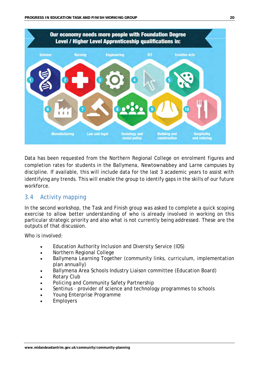

Data has been requested from the Northern Regional College on enrolment figures and completion rates for students in the Ballymena, Newtownabbey and Larne campuses by discipline. If available, this will include data for the last 3 academic years to assist with identifying any trends. This will enable the group to identify gaps in the skills of our future workforce.

# 3.4 Activity mapping

In the second workshop, the Task and Finish group was asked to complete a quick scoping exercise to allow better understanding of who is already involved in working on this particular strategic priority and also what is not currently being addressed. These are the outputs of that discussion.

Who is involved:

- Education Authority Inclusion and Diversity Service (IDS)
- Northern Regional College
- Ballymena Learning Together (community links, curriculum, implementation plan annually)
- Ballymena Area Schools Industry Liaison committee (Education Board)
- Rotary Club
- Policing and Community Safety Partnership
- Sentinus provider of science and technology programmes to schools
- Young Enterprise Programme
- Employers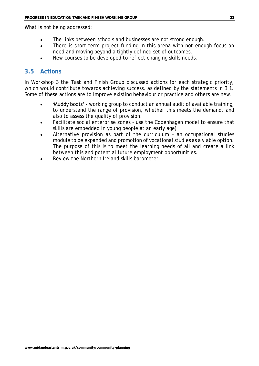What is not being addressed:

- The links between schools and businesses are not strong enough.
- There is short-term project funding in this arena with not enough focus on need and moving beyond a tightly defined set of outcomes.
- New courses to be developed to reflect changing skills needs.

# **3.5 Actions**

In Workshop 3 the Task and Finish Group discussed actions for each strategic priority, which would contribute towards achieving success, as defined by the statements in 3.1. Some of these actions are to improve existing behaviour or practice and others are new.

- 'Muddy boots' working group to conduct an annual audit of available training, to understand the range of provision, whether this meets the demand, and also to assess the quality of provision.
- Facilitate social enterprise zones use the Copenhagen model to ensure that skills are embedded in young people at an early age)
- Alternative provision as part of the curriculum an occupational studies module to be expanded and promotion of vocational studies as a viable option. The purpose of this is to meet the learning needs of all and create a link between this and potential future employment opportunities.
- Review the Northern Ireland skills barometer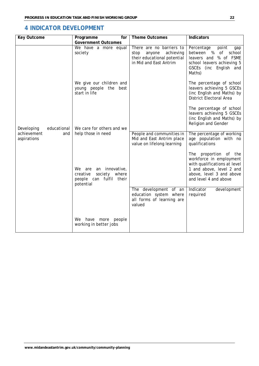# **4 INDICATOR DEVELOPMENT**

| Key Outcome                                                    | Programme<br>for                                                                              | Theme Outcomes                                                                                                   | Indicators                                                                                                                                                        |  |
|----------------------------------------------------------------|-----------------------------------------------------------------------------------------------|------------------------------------------------------------------------------------------------------------------|-------------------------------------------------------------------------------------------------------------------------------------------------------------------|--|
|                                                                | Government Outcomes                                                                           |                                                                                                                  |                                                                                                                                                                   |  |
|                                                                | We have a more equal<br>society                                                               | There are no barriers to<br>achieving<br>stop<br>anyone<br>their educational potential<br>in Mid and East Antrim | Percentage<br>point<br>gap<br>between %<br>0f<br>school<br>% of FSME<br>leavers and<br>school leavers achieving 5<br>GSCEs (inc English and<br>Maths)             |  |
| Developing<br>educational<br>achievement<br>and<br>aspirations | We give our children and<br>young people the best<br>start in life                            |                                                                                                                  | The percentage of school<br>leavers achieving 5 GSCEs<br>(inc English and Maths) by<br>District Electoral Area                                                    |  |
|                                                                | We care for others and we                                                                     |                                                                                                                  | The percentage of school<br>leavers achieving 5 GSCEs<br>(inc English and Maths) by<br>Religion and Gender                                                        |  |
|                                                                | help those in need                                                                            | People and communities in<br>Mid and East Antrim place<br>value on lifelong learning                             | The percentage of working<br>age population with no<br>qualifications                                                                                             |  |
|                                                                | an innovative,<br>We are<br>creative<br>society where<br>people can fulfil their<br>potential |                                                                                                                  | The proportion of the<br>workforce in employment<br>with qualifications at level<br>1 and above, level 2 and<br>above, level 3 and above<br>and level 4 and above |  |
|                                                                |                                                                                               | The development of an<br>education system where<br>all forms of learning are<br>valued                           | Indicator<br>development<br>required                                                                                                                              |  |
|                                                                | We have more<br>people<br>working in better jobs                                              |                                                                                                                  |                                                                                                                                                                   |  |